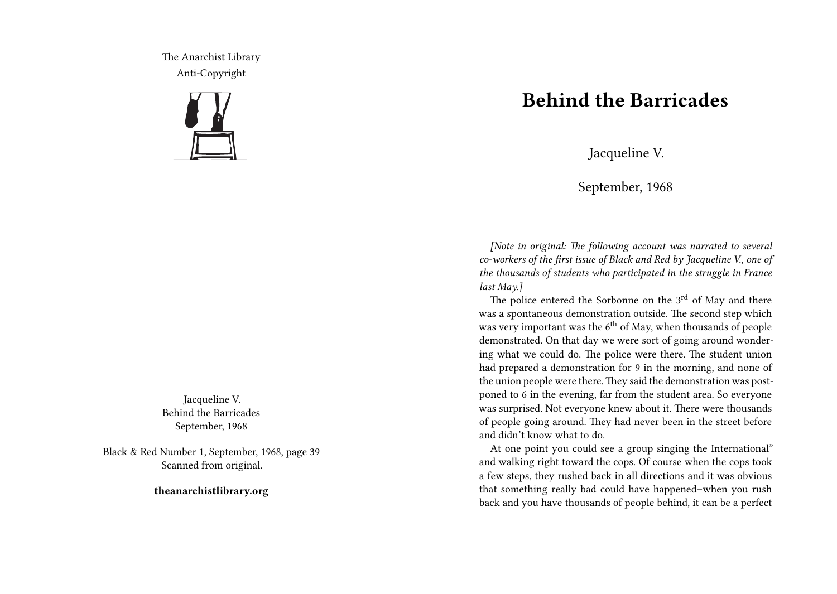The Anarchist Library Anti-Copyright



Jacqueline V. Behind the Barricades September, 1968

Black & Red Number 1, September, 1968, page 39 Scanned from original.

**theanarchistlibrary.org**

## **Behind the Barricades**

Jacqueline V.

September, 1968

*[Note in original: The following account was narrated to several co-workers of the first issue of Black and Red by Jacqueline V., one of the thousands of students who participated in the struggle in France last May.]*

The police entered the Sorbonne on the 3<sup>rd</sup> of May and there was a spontaneous demonstration outside. The second step which was very important was the  $6<sup>th</sup>$  of May, when thousands of people demonstrated. On that day we were sort of going around wondering what we could do. The police were there. The student union had prepared a demonstration for 9 in the morning, and none of the union people were there. They said the demonstration was postponed to 6 in the evening, far from the student area. So everyone was surprised. Not everyone knew about it. There were thousands of people going around. They had never been in the street before and didn't know what to do.

At one point you could see a group singing the International" and walking right toward the cops. Of course when the cops took a few steps, they rushed back in all directions and it was obvious that something really bad could have happened–when you rush back and you have thousands of people behind, it can be a perfect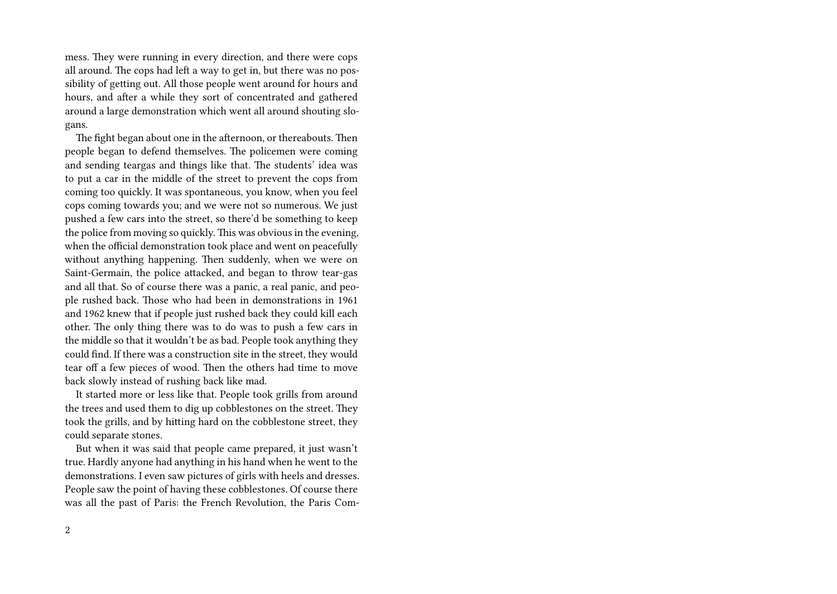mess. They were running in every direction, and there were cops all around. The cops had left a way to get in, but there was no possibility of getting out. All those people went around for hours and hours, and after a while they sort of concentrated and gathered around a large demonstration which went all around shouting slogans.

The fight began about one in the afternoon, or thereabouts. Then people began to defend themselves. The policemen were coming and sending teargas and things like that. The students' idea was to put a car in the middle of the street to prevent the cops from coming too quickly. It was spontaneous, you know, when you feel cops coming towards you; and we were not so numerous. We just pushed a few cars into the street, so there'd be something to keep the police from moving so quickly. This was obvious in the evening, when the official demonstration took place and went on peacefully without anything happening. Then suddenly, when we were on Saint-Germain, the police attacked, and began to throw tear-gas and all that. So of course there was a panic, a real panic, and people rushed back. Those who had been in demonstrations in 1961 and 1962 knew that if people just rushed back they could kill each other. The only thing there was to do was to push a few cars in the middle so that it wouldn't be as bad. People took anything they could find. If there was a construction site in the street, they would tear off a few pieces of wood. Then the others had time to move back slowly instead of rushing back like mad.

It started more or less like that. People took grills from around the trees and used them to dig up cobblestones on the street. They took the grills, and by hitting hard on the cobblestone street, they could separate stones.

But when it was said that people came prepared, it just wasn't true. Hardly anyone had anything in his hand when he went to the demonstrations. I even saw pictures of girls with heels and dresses. People saw the point of having these cobblestones. Of course there was all the past of Paris: the French Revolution, the Paris Com-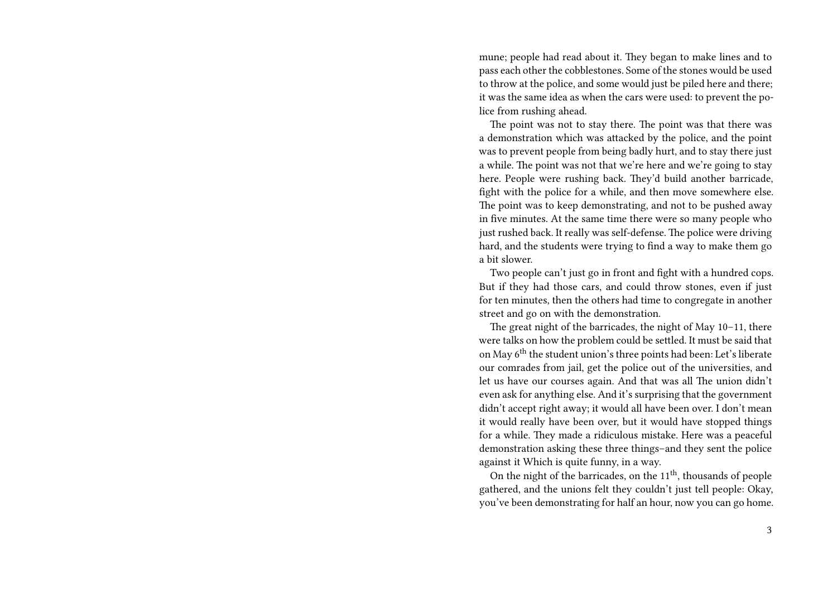mune; people had read about it. They began to make lines and to pass each other the cobblestones. Some of the stones would be used to throw at the police, and some would just be piled here and there; it was the same idea as when the cars were used: to prevent the police from rushing ahead.

The point was not to stay there. The point was that there was a demonstration which was attacked by the police, and the point was to prevent people from being badly hurt, and to stay there just a while. The point was not that we're here and we're going to stay here. People were rushing back. They'd build another barricade, fight with the police for a while, and then move somewhere else. The point was to keep demonstrating, and not to be pushed away in five minutes. At the same time there were so many people who just rushed back. It really was self-defense. The police were driving hard, and the students were trying to find a way to make them go a bit slower.

Two people can't just go in front and fight with a hundred cops. But if they had those cars, and could throw stones, even if just for ten minutes, then the others had time to congregate in another street and go on with the demonstration.

The great night of the barricades, the night of May 10–11, there were talks on how the problem could be settled. It must be said that on May 6th the student union's three points had been: Let's liberate our comrades from jail, get the police out of the universities, and let us have our courses again. And that was all The union didn't even ask for anything else. And it's surprising that the government didn't accept right away; it would all have been over. I don't mean it would really have been over, but it would have stopped things for a while. They made a ridiculous mistake. Here was a peaceful demonstration asking these three things–and they sent the police against it Which is quite funny, in a way.

On the night of the barricades, on the  $11<sup>th</sup>$ , thousands of people gathered, and the unions felt they couldn't just tell people: Okay, you've been demonstrating for half an hour, now you can go home.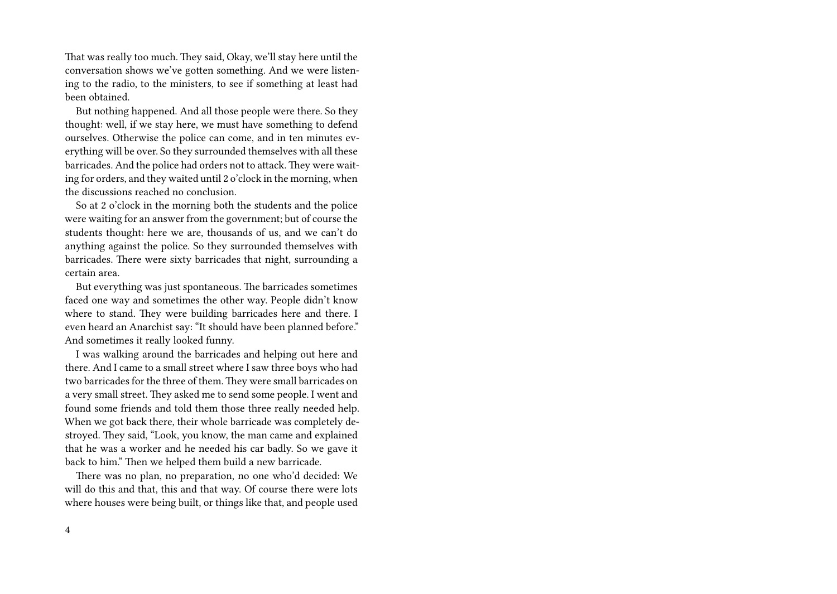That was really too much. They said, Okay, we'll stay here until the conversation shows we've gotten something. And we were listening to the radio, to the ministers, to see if something at least had been obtained.

But nothing happened. And all those people were there. So they thought: well, if we stay here, we must have something to defend ourselves. Otherwise the police can come, and in ten minutes everything will be over. So they surrounded themselves with all these barricades. And the police had orders not to attack. They were waiting for orders, and they waited until 2 o'clock in the morning, when the discussions reached no conclusion.

So at 2 o'clock in the morning both the students and the police were waiting for an answer from the government; but of course the students thought: here we are, thousands of us, and we can't do anything against the police. So they surrounded themselves with barricades. There were sixty barricades that night, surrounding a certain area.

But everything was just spontaneous. The barricades sometimes faced one way and sometimes the other way. People didn't know where to stand. They were building barricades here and there. I even heard an Anarchist say: "It should have been planned before." And sometimes it really looked funny.

I was walking around the barricades and helping out here and there. And I came to a small street where I saw three boys who had two barricades for the three of them. They were small barricades on a very small street. They asked me to send some people. I went and found some friends and told them those three really needed help. When we got back there, their whole barricade was completely destroyed. They said, "Look, you know, the man came and explained that he was a worker and he needed his car badly. So we gave it back to him." Then we helped them build a new barricade.

There was no plan, no preparation, no one who'd decided: We will do this and that, this and that way. Of course there were lots where houses were being built, or things like that, and people used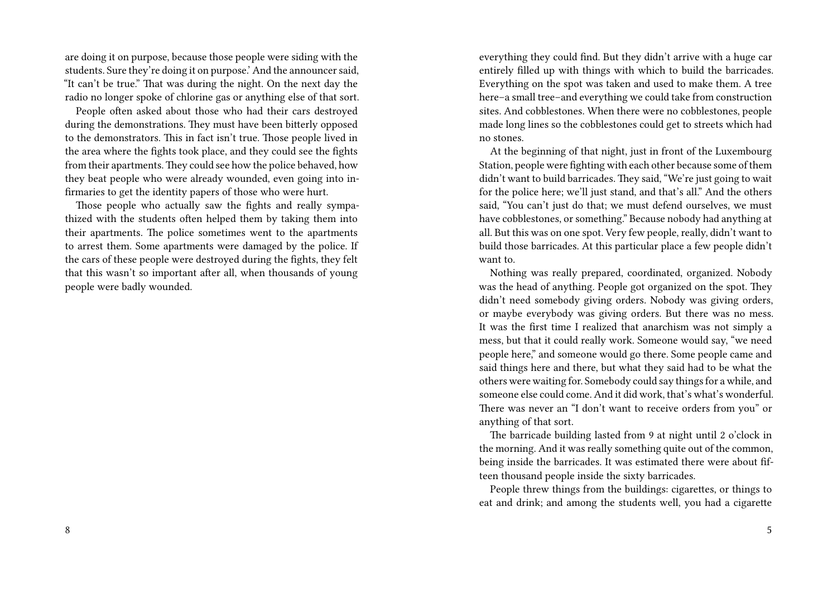are doing it on purpose, because those people were siding with the students. Sure they're doing it on purpose.' And the announcer said, "It can't be true." That was during the night. On the next day the radio no longer spoke of chlorine gas or anything else of that sort.

People often asked about those who had their cars destroyed during the demonstrations. They must have been bitterly opposed to the demonstrators. This in fact isn't true. Those people lived in the area where the fights took place, and they could see the fights from their apartments. They could see how the police behaved, how they beat people who were already wounded, even going into infirmaries to get the identity papers of those who were hurt.

Those people who actually saw the fights and really sympathized with the students often helped them by taking them into their apartments. The police sometimes went to the apartments to arrest them. Some apartments were damaged by the police. If the cars of these people were destroyed during the fights, they felt that this wasn't so important after all, when thousands of young people were badly wounded.

everything they could find. But they didn't arrive with a huge car entirely filled up with things with which to build the barricades. Everything on the spot was taken and used to make them. A tree here–a small tree–and everything we could take from construction sites. And cobblestones. When there were no cobblestones, people made long lines so the cobblestones could get to streets which had no stones.

At the beginning of that night, just in front of the Luxembourg Station, people were fighting with each other because some of them didn't want to build barricades. They said, "We're just going to wait for the police here; we'll just stand, and that's all." And the others said, "You can't just do that; we must defend ourselves, we must have cobblestones, or something." Because nobody had anything at all. But this was on one spot. Very few people, really, didn't want to build those barricades. At this particular place a few people didn't want to.

Nothing was really prepared, coordinated, organized. Nobody was the head of anything. People got organized on the spot. They didn't need somebody giving orders. Nobody was giving orders, or maybe everybody was giving orders. But there was no mess. It was the first time I realized that anarchism was not simply a mess, but that it could really work. Someone would say, "we need people here," and someone would go there. Some people came and said things here and there, but what they said had to be what the others were waiting for. Somebody could say things for a while, and someone else could come. And it did work, that's what's wonderful. There was never an "I don't want to receive orders from you" or anything of that sort.

The barricade building lasted from 9 at night until 2 o'clock in the morning. And it was really something quite out of the common, being inside the barricades. It was estimated there were about fifteen thousand people inside the sixty barricades.

People threw things from the buildings: cigarettes, or things to eat and drink; and among the students well, you had a cigarette